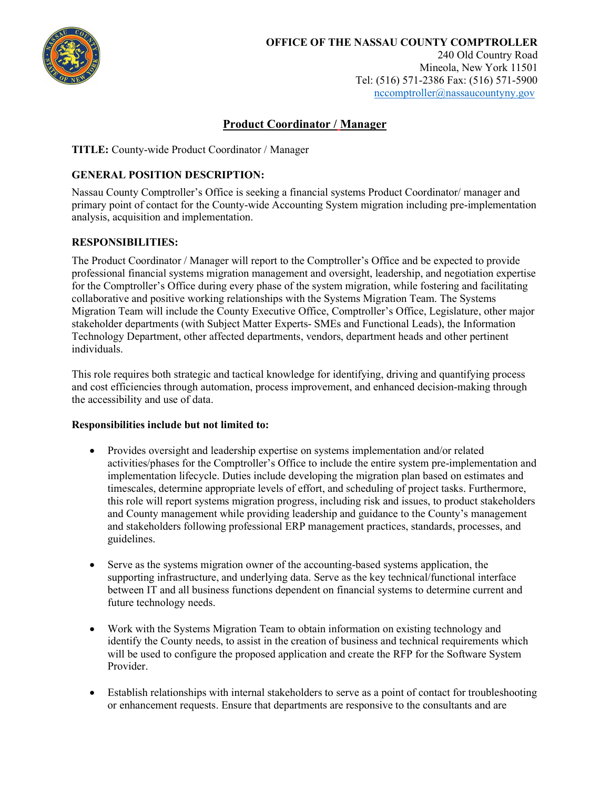

# Product Coordinator / Manager

TITLE: County-wide Product Coordinator / Manager

### GENERAL POSITION DESCRIPTION:

Nassau County Comptroller's Office is seeking a financial systems Product Coordinator/ manager and primary point of contact for the County-wide Accounting System migration including pre-implementation analysis, acquisition and implementation.

### RESPONSIBILITIES:

The Product Coordinator / Manager will report to the Comptroller's Office and be expected to provide professional financial systems migration management and oversight, leadership, and negotiation expertise for the Comptroller's Office during every phase of the system migration, while fostering and facilitating collaborative and positive working relationships with the Systems Migration Team. The Systems Migration Team will include the County Executive Office, Comptroller's Office, Legislature, other major stakeholder departments (with Subject Matter Experts- SMEs and Functional Leads), the Information Technology Department, other affected departments, vendors, department heads and other pertinent individuals.

This role requires both strategic and tactical knowledge for identifying, driving and quantifying process and cost efficiencies through automation, process improvement, and enhanced decision-making through the accessibility and use of data.

#### Responsibilities include but not limited to:

- Provides oversight and leadership expertise on systems implementation and/or related activities/phases for the Comptroller's Office to include the entire system pre-implementation and implementation lifecycle. Duties include developing the migration plan based on estimates and timescales, determine appropriate levels of effort, and scheduling of project tasks. Furthermore, this role will report systems migration progress, including risk and issues, to product stakeholders and County management while providing leadership and guidance to the County's management and stakeholders following professional ERP management practices, standards, processes, and guidelines.
- Serve as the systems migration owner of the accounting-based systems application, the supporting infrastructure, and underlying data. Serve as the key technical/functional interface between IT and all business functions dependent on financial systems to determine current and future technology needs.
- Work with the Systems Migration Team to obtain information on existing technology and identify the County needs, to assist in the creation of business and technical requirements which will be used to configure the proposed application and create the RFP for the Software System Provider.
- Establish relationships with internal stakeholders to serve as a point of contact for troubleshooting or enhancement requests. Ensure that departments are responsive to the consultants and are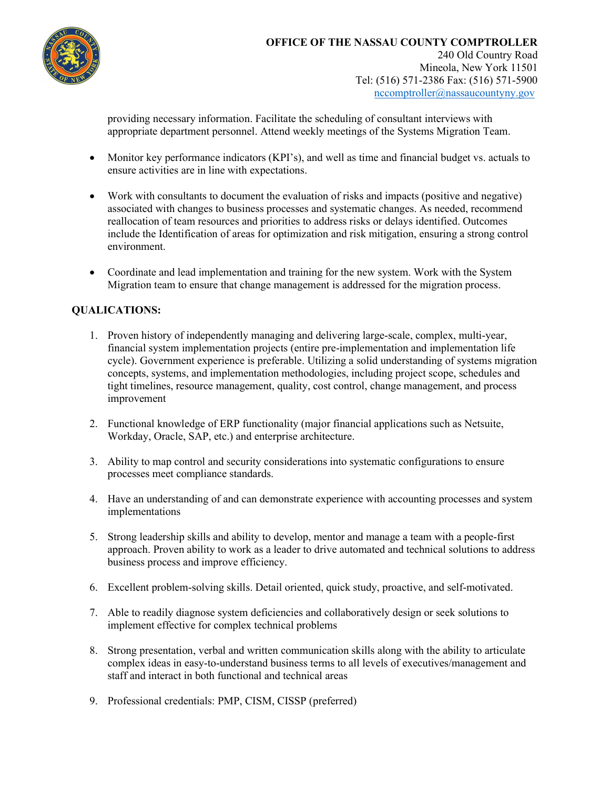

providing necessary information. Facilitate the scheduling of consultant interviews with appropriate department personnel. Attend weekly meetings of the Systems Migration Team.

- Monitor key performance indicators (KPI's), and well as time and financial budget vs. actuals to ensure activities are in line with expectations.
- Work with consultants to document the evaluation of risks and impacts (positive and negative) associated with changes to business processes and systematic changes. As needed, recommend reallocation of team resources and priorities to address risks or delays identified. Outcomes include the Identification of areas for optimization and risk mitigation, ensuring a strong control environment.
- Coordinate and lead implementation and training for the new system. Work with the System Migration team to ensure that change management is addressed for the migration process.

## QUALICATIONS:

- 1. Proven history of independently managing and delivering large-scale, complex, multi-year, financial system implementation projects (entire pre-implementation and implementation life cycle). Government experience is preferable. Utilizing a solid understanding of systems migration concepts, systems, and implementation methodologies, including project scope, schedules and tight timelines, resource management, quality, cost control, change management, and process improvement
- 2. Functional knowledge of ERP functionality (major financial applications such as Netsuite, Workday, Oracle, SAP, etc.) and enterprise architecture.
- 3. Ability to map control and security considerations into systematic configurations to ensure processes meet compliance standards.
- 4. Have an understanding of and can demonstrate experience with accounting processes and system implementations
- 5. Strong leadership skills and ability to develop, mentor and manage a team with a people-first approach. Proven ability to work as a leader to drive automated and technical solutions to address business process and improve efficiency.
- 6. Excellent problem-solving skills. Detail oriented, quick study, proactive, and self-motivated.
- 7. Able to readily diagnose system deficiencies and collaboratively design or seek solutions to implement effective for complex technical problems
- 8. Strong presentation, verbal and written communication skills along with the ability to articulate complex ideas in easy-to-understand business terms to all levels of executives/management and staff and interact in both functional and technical areas
- 9. Professional credentials: PMP, CISM, CISSP (preferred)